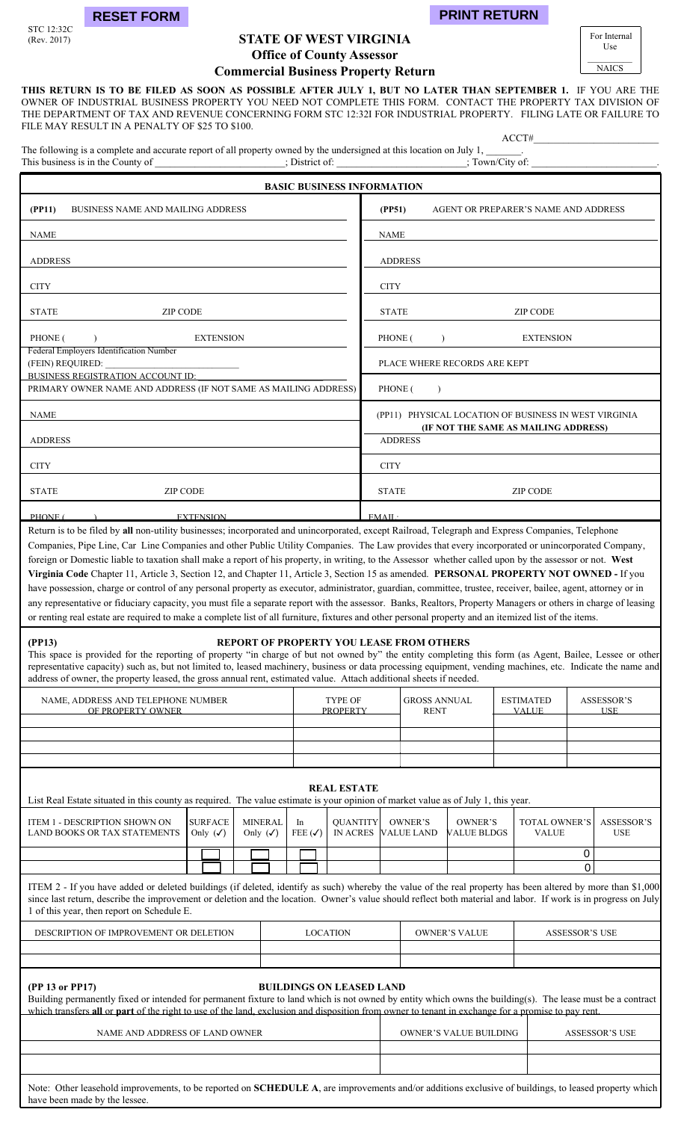

STC 12:32C<br>(Rev. 2017)

# **STATE OF WEST VIRGINIA Office of County Assessor**

**Commercial Business Property Return** 

**THIS RETURN IS TO BE FILED AS SOON AS POSSIBLE AFTER JULY 1, BUT NO LATER THAN SEPTEMBER 1.** IF YOU ARE THE OWNER OF INDUSTRIAL BUSINESS PROPERTY YOU NEED NOT COMPLETE THIS FORM. CONTACT THE PROPERTY TAX DIVISION OF THE DEPARTMENT OF TAX AND REVENUE CONCERNING FORM STC 12:32I FOR INDUSTRIAL PROPERTY. FILING LATE OR FAILURE TO FILE MAY RESULT IN A PENALTY OF \$25 TO \$100.

ACCT#\_\_\_\_\_\_\_\_\_\_\_\_\_\_\_\_\_\_\_\_\_\_\_\_\_

The following is a complete and accurate report of all property owned by the undersigned at this location on July 1, This business is in the County of \_\_\_\_\_\_\_\_\_\_\_\_\_\_; District of: \_\_\_\_\_\_\_\_\_\_\_\_\_\_\_\_\_; Town/City of:

| <b>BASIC BUSINESS INFORMATION</b>                                                                                                                |                                                                                               |
|--------------------------------------------------------------------------------------------------------------------------------------------------|-----------------------------------------------------------------------------------------------|
| (PP11)<br><b>BUSINESS NAME AND MAILING ADDRESS</b>                                                                                               | (PP51)<br>AGENT OR PREPARER'S NAME AND ADDRESS                                                |
| <b>NAME</b>                                                                                                                                      | <b>NAME</b>                                                                                   |
| <b>ADDRESS</b>                                                                                                                                   | <b>ADDRESS</b>                                                                                |
| <b>CITY</b>                                                                                                                                      | <b>CITY</b>                                                                                   |
| <b>STATE</b><br><b>ZIP CODE</b>                                                                                                                  | <b>STATE</b><br><b>ZIP CODE</b>                                                               |
| PHONE (<br><b>EXTENSION</b><br>$\bigcup$                                                                                                         | PHONE (<br><b>EXTENSION</b><br>$\lambda$                                                      |
| Federal Employers Identification Number                                                                                                          | PLACE WHERE RECORDS ARE KEPT                                                                  |
| BUSINESS REGISTRATION ACCOUNT ID:<br>PRIMARY OWNER NAME AND ADDRESS (IF NOT SAME AS MAILING ADDRESS)                                             | PHONE (                                                                                       |
| <b>NAME</b>                                                                                                                                      | (PP11) PHYSICAL LOCATION OF BUSINESS IN WEST VIRGINIA<br>(IF NOT THE SAME AS MAILING ADDRESS) |
| <b>ADDRESS</b>                                                                                                                                   | <b>ADDRESS</b>                                                                                |
| <b>CITY</b>                                                                                                                                      | <b>CITY</b>                                                                                   |
| <b>STATE</b><br><b>ZIP CODE</b>                                                                                                                  | <b>STATE</b><br><b>ZIP CODE</b>                                                               |
| <b>EXTENSION</b><br>PHONE (                                                                                                                      | EMAIL                                                                                         |
| Deturn is to be filed by all non utility businesses; incorporated and unincorporated execut Deilroed, Telegraph and Express Companies, Telephone |                                                                                               |

Return is to be filed by **all** non-utility businesses; incorporated and unincorporated, except Railroad, Telegraph and Express Companies, Telephone Companies, Pipe Line, Car Line Companies and other Public Utility Companies. The Law provides that every incorporated or unincorporated Company, foreign or Domestic liable to taxation shall make a report of his property, in writing, to the Assessor whether called upon by the assessor or not. **West Virginia Code** Chapter 11, Article 3, Section 12, and Chapter 11, Article 3, Section 15 as amended. **PERSONAL PROPERTY NOT OWNED -** If you have possession, charge or control of any personal property as executor, administrator, guardian, committee, trustee, receiver, bailee, agent, attorney or in any representative or fiduciary capacity, you must file a separate report with the assessor. Banks, Realtors, Property Managers or others in charge of leasing or renting real estate are required to make a complete list of all furniture, fixtures and other personal property and an itemized list of the items.

## **(PP13) REPORT OF PROPERTY YOU LEASE FROM OTHERS**

This space is provided for the reporting of property "in charge of but not owned by" the entity completing this form (as Agent, Bailee, Lessee or other representative capacity) such as, but not limited to, leased machinery, business or data processing equipment, vending machines, etc. Indicate the name and address of owner, the property leased, the gross annual rent, estimated value. Attach additional sheets if needed.

| NAME, ADDRESS AND TELEPHONE NUMBER<br>OF PROPERTY OWNER | TYPE OF<br><b>PROPERTY</b> | <b>GROSS ANNUAL</b><br><b>RENT</b> | <b>ESTIMATED</b><br><b>VALUE</b> | ASSESSOR'S<br><b>TISE</b> |
|---------------------------------------------------------|----------------------------|------------------------------------|----------------------------------|---------------------------|
|                                                         |                            |                                    |                                  |                           |
|                                                         |                            |                                    |                                  |                           |
|                                                         |                            |                                    |                                  |                           |

### **REAL ESTATE**

List Real Estate situated in this county as required. The value estimate is your opinion of market value as of July 1, this year.

| ITEM 1 - DESCRIPTION SHOWN ON<br>LAND BOOKS OR TAX STATEMENTS                                                                                                                                                                                                                                                                | <b>SURFACE</b><br>Only $(\checkmark)$ | <b>MINERAL</b><br>Only $(\checkmark)$ | - In<br>FEE $(\checkmark)$ | <b>OUANTITY</b> | OWNER'S<br>IN ACRES VALUE LAND | OWNER'S<br><b>VALUE BLDGS</b> | <b>TOTAL OWNER'S ASSESSOR'S</b><br><b>VALUE</b> | <b>USE</b> |
|------------------------------------------------------------------------------------------------------------------------------------------------------------------------------------------------------------------------------------------------------------------------------------------------------------------------------|---------------------------------------|---------------------------------------|----------------------------|-----------------|--------------------------------|-------------------------------|-------------------------------------------------|------------|
|                                                                                                                                                                                                                                                                                                                              |                                       |                                       |                            |                 |                                |                               |                                                 |            |
|                                                                                                                                                                                                                                                                                                                              |                                       |                                       |                            |                 |                                |                               |                                                 |            |
| ITEM 2 - If you have added or deleted buildings (if deleted, identify as such) whereby the value of the real property has been altered by more than \$1,000<br>gines legt rature describe the improvement or delation and the legation. Owner's young should reflect both meterial and leber. If work is in progress on July |                                       |                                       |                            |                 |                                |                               |                                                 |            |

improvement or deletion and the location. Owner's value should reflect both material and labor. If work is in progress on July 1 of this year, then report on Schedule E. ֧֞֝֬֝֬֝֬֝֬֝֬֝֬֝

| DESCRIPTION OF IMPROVEMENT OR DELETION | <b>ATION</b><br>OC | OWNER'S VALUE | ASSESSOR'S USE |
|----------------------------------------|--------------------|---------------|----------------|
|                                        |                    |               |                |
|                                        |                    |               |                |

|  | (PP 13 or PP17 |
|--|----------------|
|  |                |

### **(1)** BUILDINGS ON LEASED LAND

Building permanently fixed or intended for permanent fixture to land which is not owned by entity which owns the building(s). The lease must be a contract which transfers **all** or **part** of the right to use of the land, exclusion and disposition from owner to tenant in exchange for a promise to pay rent.

| NAME AND ADDRESS OF LAND OWNER | OWNER'S VALUE BUILDING | <b>ASSESSOR'S USE</b> |
|--------------------------------|------------------------|-----------------------|
|                                |                        |                       |
|                                |                        |                       |
|                                |                        |                       |

Note: Other leasehold improvements, to be reported on **SCHEDULE A**, are improvements and/or additions exclusive of buildings, to leased property which have been made by the lessee.

 For Internal Use

 $\frac{1}{2}$ NAICS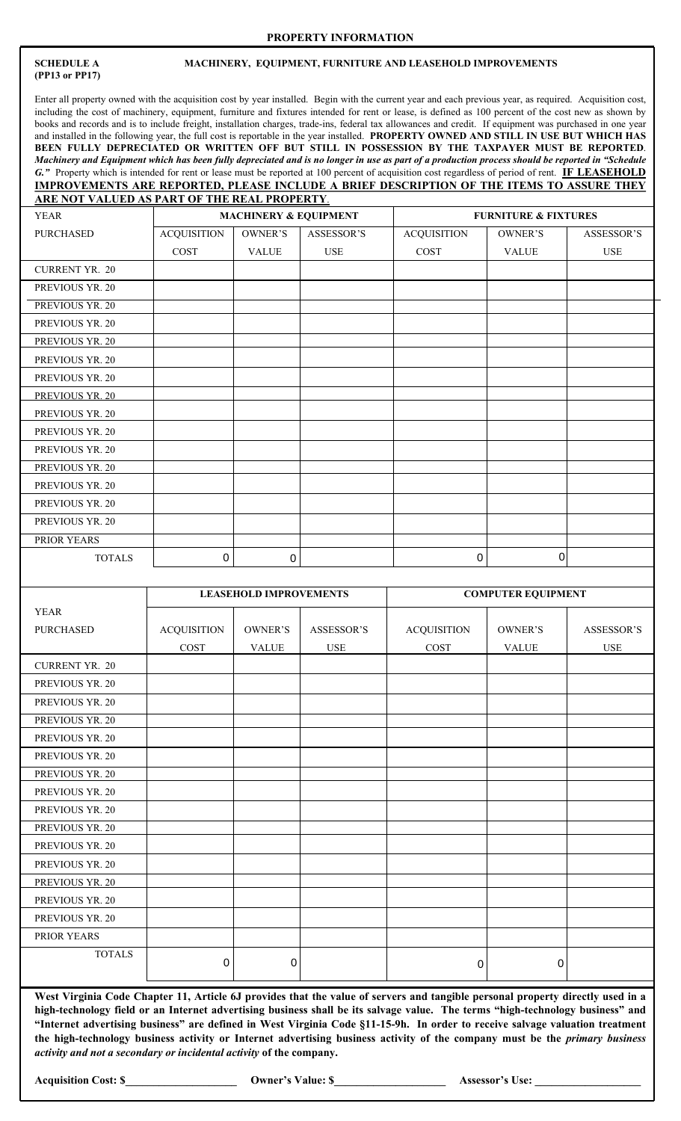### **PROPERTY INFORMATION**

# **(PP13 or PP17)**

### **SCHEDULE A MACHINERY, EQUIPMENT, FURNITURE AND LEASEHOLD IMPROVEMENTS**

Enter all property owned with the acquisition cost by year installed. Begin with the current year and each previous year, as required. Acquisition cost, including the cost of machinery, equipment, furniture and fixtures intended for rent or lease, is defined as 100 percent of the cost new as shown by books and records and is to include freight, installation charges, trade-ins, federal tax allowances and credit. If equipment was purchased in one year and installed in the following year, the full cost is reportable in the year installed. **PROPERTY OWNED AND STILL IN USE BUT WHICH HAS BEEN FULLY DEPRECIATED OR WRITTEN OFF BUT STILL IN POSSESSION BY THE TAXPAYER MUST BE REPORTED**. *Machinery and Equipment which has been fully depreciated and is no longer in use as part of a production process should be reported in "Schedule G."* Property which is intended for rent or lease must be reported at 100 percent of acquisition cost regardless of period of rent. **IF LEASEHOLD IMPROVEMENTS ARE REPORTED, PLEASE INCLUDE A BRIEF DESCRIPTION OF THE ITEMS TO ASSURE THEY ARE NOT VALUED AS PART OF THE REAL PROPERTY**.

| <b>YEAR</b>           |                    | <b>MACHINERY &amp; EQUIPMENT</b> |            | <b>FURNITURE &amp; FIXTURES</b> |                |            |  |  |
|-----------------------|--------------------|----------------------------------|------------|---------------------------------|----------------|------------|--|--|
| PURCHASED             | <b>ACQUISITION</b> | OWNER'S                          | ASSESSOR'S | <b>ACQUISITION</b>              | OWNER'S        | ASSESSOR'S |  |  |
|                       | <b>COST</b>        | <b>VALUE</b>                     | <b>USE</b> | <b>COST</b>                     | <b>VALUE</b>   | <b>USE</b> |  |  |
| <b>CURRENT YR. 20</b> |                    |                                  |            |                                 |                |            |  |  |
| PREVIOUS YR. 20       |                    |                                  |            |                                 |                |            |  |  |
| PREVIOUS YR. 20       |                    |                                  |            |                                 |                |            |  |  |
| PREVIOUS YR. 20       |                    |                                  |            |                                 |                |            |  |  |
| PREVIOUS YR. 20       |                    |                                  |            |                                 |                |            |  |  |
| PREVIOUS YR. 20       |                    |                                  |            |                                 |                |            |  |  |
| PREVIOUS YR. 20       |                    |                                  |            |                                 |                |            |  |  |
| PREVIOUS YR. 20       |                    |                                  |            |                                 |                |            |  |  |
| PREVIOUS YR. 20       |                    |                                  |            |                                 |                |            |  |  |
| PREVIOUS YR. 20       |                    |                                  |            |                                 |                |            |  |  |
| PREVIOUS YR. 20       |                    |                                  |            |                                 |                |            |  |  |
| PREVIOUS YR. 20       |                    |                                  |            |                                 |                |            |  |  |
| PREVIOUS YR. 20       |                    |                                  |            |                                 |                |            |  |  |
| PREVIOUS YR. 20       |                    |                                  |            |                                 |                |            |  |  |
| PREVIOUS YR. 20       |                    |                                  |            |                                 |                |            |  |  |
| PRIOR YEARS           |                    |                                  |            |                                 |                |            |  |  |
| <b>TOTALS</b>         | $\mathbf 0$        | $\mathbf 0$                      |            | $\mathbf 0$                     | $\overline{0}$ |            |  |  |

|                       |                    | <b>LEASEHOLD IMPROVEMENTS</b> |            |                    | <b>COMPUTER EQUIPMENT</b> |                   |  |  |
|-----------------------|--------------------|-------------------------------|------------|--------------------|---------------------------|-------------------|--|--|
| <b>YEAR</b>           |                    |                               |            |                    |                           |                   |  |  |
| <b>PURCHASED</b>      | <b>ACQUISITION</b> | OWNER'S                       | ASSESSOR'S | <b>ACQUISITION</b> | OWNER'S                   | <b>ASSESSOR'S</b> |  |  |
|                       | COST               | <b>VALUE</b>                  | <b>USE</b> | COST               | <b>VALUE</b>              | <b>USE</b>        |  |  |
| <b>CURRENT YR. 20</b> |                    |                               |            |                    |                           |                   |  |  |
| PREVIOUS YR. 20       |                    |                               |            |                    |                           |                   |  |  |
| PREVIOUS YR. 20       |                    |                               |            |                    |                           |                   |  |  |
| PREVIOUS YR. 20       |                    |                               |            |                    |                           |                   |  |  |
| PREVIOUS YR. 20       |                    |                               |            |                    |                           |                   |  |  |
| PREVIOUS YR. 20       |                    |                               |            |                    |                           |                   |  |  |
| PREVIOUS YR. 20       |                    |                               |            |                    |                           |                   |  |  |
| PREVIOUS YR. 20       |                    |                               |            |                    |                           |                   |  |  |
| PREVIOUS YR. 20       |                    |                               |            |                    |                           |                   |  |  |
| PREVIOUS YR. 20       |                    |                               |            |                    |                           |                   |  |  |
| PREVIOUS YR. 20       |                    |                               |            |                    |                           |                   |  |  |
| PREVIOUS YR. 20       |                    |                               |            |                    |                           |                   |  |  |
| PREVIOUS YR. 20       |                    |                               |            |                    |                           |                   |  |  |
| PREVIOUS YR. 20       |                    |                               |            |                    |                           |                   |  |  |
| PREVIOUS YR. 20       |                    |                               |            |                    |                           |                   |  |  |
| PRIOR YEARS           |                    |                               |            |                    |                           |                   |  |  |
| <b>TOTALS</b>         | $\overline{0}$     | $\mathbf 0$                   |            | 0                  | 0                         |                   |  |  |

**West Virginia Code Chapter 11, Article 6J provides that the value of servers and tangible personal property directly used in a high-technology field or an Internet advertising business shall be its salvage value. The terms "high-technology business" and "Internet advertising business" are defined in West Virginia Code §11-15-9h. In order to receive salvage valuation treatment the high-technology business activity or Internet advertising business activity of the company must be the** *primary business activity and not a secondary or incidental activity* **of the company.** 

**Acquisition Cost: \$\_\_\_\_\_\_\_\_\_\_\_\_\_\_\_\_\_\_\_\_ Owner's Value: \$\_\_\_\_\_\_\_\_\_\_\_\_\_\_\_\_\_\_\_\_ Assessor's Use: \_\_\_\_\_\_\_\_\_\_\_\_\_\_\_\_\_\_\_**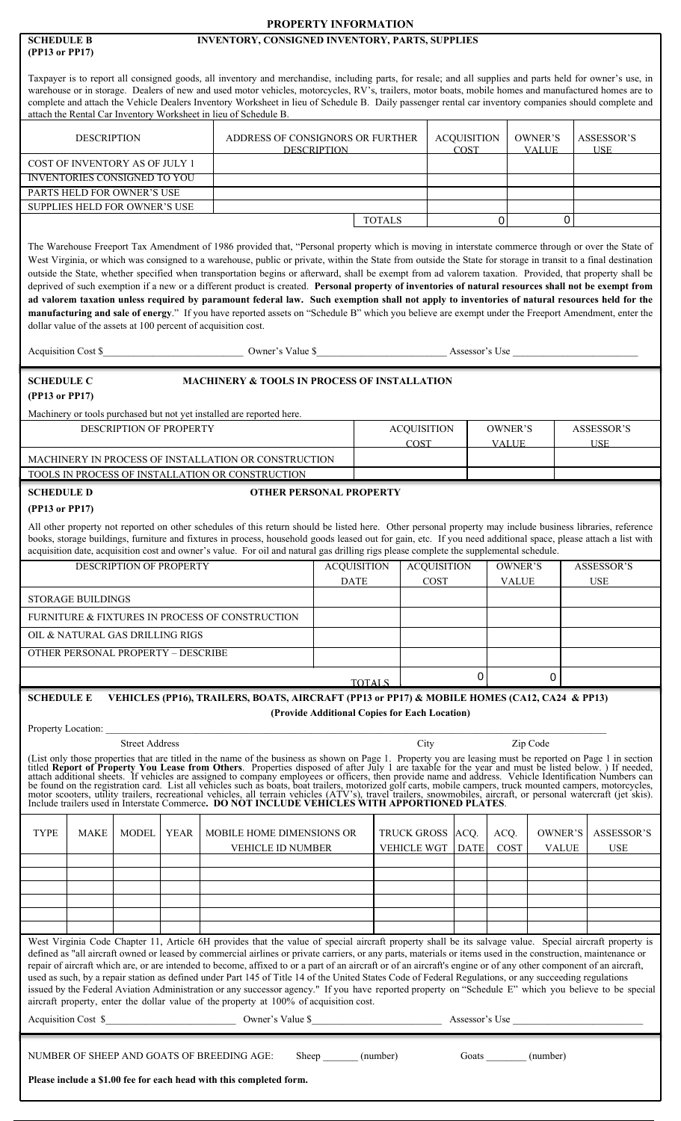|                                                                                                                                                                                                                                                                                                                                                                                                                                                                                                                                                                                                                                                                                                                                                                                                                                                                                                                                                                                                                                            |                                                                                              | PROPERTY INFORMATION                          |               |                                        |                                   |                         |                         |             |                                  |
|--------------------------------------------------------------------------------------------------------------------------------------------------------------------------------------------------------------------------------------------------------------------------------------------------------------------------------------------------------------------------------------------------------------------------------------------------------------------------------------------------------------------------------------------------------------------------------------------------------------------------------------------------------------------------------------------------------------------------------------------------------------------------------------------------------------------------------------------------------------------------------------------------------------------------------------------------------------------------------------------------------------------------------------------|----------------------------------------------------------------------------------------------|-----------------------------------------------|---------------|----------------------------------------|-----------------------------------|-------------------------|-------------------------|-------------|----------------------------------|
| <b>SCHEDULE B</b><br>(PP13 or PP17)                                                                                                                                                                                                                                                                                                                                                                                                                                                                                                                                                                                                                                                                                                                                                                                                                                                                                                                                                                                                        | INVENTORY, CONSIGNED INVENTORY, PARTS, SUPPLIES                                              |                                               |               |                                        |                                   |                         |                         |             |                                  |
| Taxpayer is to report all consigned goods, all inventory and merchandise, including parts, for resale; and all supplies and parts held for owner's use, in<br>warehouse or in storage. Dealers of new and used motor vehicles, motorcycles, RV's, trailers, motor boats, mobile homes and manufactured homes are to<br>complete and attach the Vehicle Dealers Inventory Worksheet in lieu of Schedule B. Daily passenger rental car inventory companies should complete and<br>attach the Rental Car Inventory Worksheet in lieu of Schedule B.                                                                                                                                                                                                                                                                                                                                                                                                                                                                                           |                                                                                              |                                               |               |                                        |                                   |                         |                         |             |                                  |
| <b>DESCRIPTION</b>                                                                                                                                                                                                                                                                                                                                                                                                                                                                                                                                                                                                                                                                                                                                                                                                                                                                                                                                                                                                                         | ADDRESS OF CONSIGNORS OR FURTHER                                                             | <b>DESCRIPTION</b>                            |               |                                        | <b>ACQUISITION</b><br><b>COST</b> |                         | OWNER'S<br><b>VALUE</b> |             | <b>ASSESSOR'S</b><br><b>IISE</b> |
| COST OF INVENTORY AS OF JULY 1<br><b>INVENTORIES CONSIGNED TO YOU</b>                                                                                                                                                                                                                                                                                                                                                                                                                                                                                                                                                                                                                                                                                                                                                                                                                                                                                                                                                                      |                                                                                              |                                               |               |                                        |                                   |                         |                         |             |                                  |
| PARTS HELD FOR OWNER'S USE                                                                                                                                                                                                                                                                                                                                                                                                                                                                                                                                                                                                                                                                                                                                                                                                                                                                                                                                                                                                                 |                                                                                              |                                               |               |                                        |                                   |                         |                         |             |                                  |
| SUPPLIES HELD FOR OWNER'S USE                                                                                                                                                                                                                                                                                                                                                                                                                                                                                                                                                                                                                                                                                                                                                                                                                                                                                                                                                                                                              |                                                                                              |                                               |               |                                        |                                   |                         |                         |             |                                  |
|                                                                                                                                                                                                                                                                                                                                                                                                                                                                                                                                                                                                                                                                                                                                                                                                                                                                                                                                                                                                                                            |                                                                                              |                                               | <b>TOTALS</b> |                                        |                                   | $\mathbf 0$             |                         | $\mathbf 0$ |                                  |
| The Warehouse Freeport Tax Amendment of 1986 provided that, "Personal property which is moving in interstate commerce through or over the State of<br>West Virginia, or which was consigned to a warehouse, public or private, within the State from outside the State for storage in transit to a final destination<br>outside the State, whether specified when transportation begins or afterward, shall be exempt from ad valorem taxation. Provided, that property shall be<br>deprived of such exemption if a new or a different product is created. Personal property of inventories of natural resources shall not be exempt from<br>ad valorem taxation unless required by paramount federal law. Such exemption shall not apply to inventories of natural resources held for the<br>manufacturing and sale of energy." If you have reported assets on "Schedule B" which you believe are exempt under the Freeport Amendment, enter the<br>dollar value of the assets at 100 percent of acquisition cost.<br>Acquisition Cost \$ |                                                                                              |                                               |               |                                        |                                   |                         |                         |             |                                  |
|                                                                                                                                                                                                                                                                                                                                                                                                                                                                                                                                                                                                                                                                                                                                                                                                                                                                                                                                                                                                                                            |                                                                                              |                                               |               |                                        |                                   |                         |                         |             |                                  |
| <b>SCHEDULE C</b><br>(PP13 or PP17)<br>Machinery or tools purchased but not yet installed are reported here.                                                                                                                                                                                                                                                                                                                                                                                                                                                                                                                                                                                                                                                                                                                                                                                                                                                                                                                               | MACHINERY & TOOLS IN PROCESS OF INSTALLATION                                                 |                                               |               |                                        |                                   |                         |                         |             |                                  |
| <b>DESCRIPTION OF PROPERTY</b>                                                                                                                                                                                                                                                                                                                                                                                                                                                                                                                                                                                                                                                                                                                                                                                                                                                                                                                                                                                                             |                                                                                              |                                               |               | <b>ACQUISITION</b>                     |                                   | OWNER'S                 |                         |             | <b>ASSESSOR'S</b>                |
| MACHINERY IN PROCESS OF INSTALLATION OR CONSTRUCTION<br>TOOLS IN PROCESS OF INSTALLATION OR CONSTRUCTION                                                                                                                                                                                                                                                                                                                                                                                                                                                                                                                                                                                                                                                                                                                                                                                                                                                                                                                                   |                                                                                              |                                               |               | <b>COST</b>                            |                                   | <b>VALUE</b>            |                         |             | <b>USE</b>                       |
| <b>SCHEDULE D</b>                                                                                                                                                                                                                                                                                                                                                                                                                                                                                                                                                                                                                                                                                                                                                                                                                                                                                                                                                                                                                          | <b>OTHER PERSONAL PROPERTY</b>                                                               |                                               |               |                                        |                                   |                         |                         |             |                                  |
| (PP13 or PP17)                                                                                                                                                                                                                                                                                                                                                                                                                                                                                                                                                                                                                                                                                                                                                                                                                                                                                                                                                                                                                             |                                                                                              |                                               |               |                                        |                                   |                         |                         |             |                                  |
| All other property not reported on other schedules of this return should be listed here. Other personal property may include business libraries, reference<br>books, storage buildings, furniture and fixtures in process, household goods leased out for gain, etc. If you need additional space, please attach a list with<br>acquisition date, acquisition cost and owner's value. For oil and natural gas drilling rigs please complete the supplemental schedule.                                                                                                                                                                                                                                                                                                                                                                                                                                                                                                                                                                     |                                                                                              |                                               |               |                                        |                                   |                         |                         |             |                                  |
| DESCRIPTION OF PROPERTY                                                                                                                                                                                                                                                                                                                                                                                                                                                                                                                                                                                                                                                                                                                                                                                                                                                                                                                                                                                                                    |                                                                                              | <b>ACQUISITION</b><br><b>DATE</b>             |               | <b>ACQUISITION</b><br>COST             |                                   | OWNER'S<br><b>VALUE</b> |                         |             | <b>ASSESSOR'S</b><br><b>USE</b>  |
| <b>STORAGE BUILDINGS</b>                                                                                                                                                                                                                                                                                                                                                                                                                                                                                                                                                                                                                                                                                                                                                                                                                                                                                                                                                                                                                   |                                                                                              |                                               |               |                                        |                                   |                         |                         |             |                                  |
| FURNITURE & FIXTURES IN PROCESS OF CONSTRUCTION                                                                                                                                                                                                                                                                                                                                                                                                                                                                                                                                                                                                                                                                                                                                                                                                                                                                                                                                                                                            |                                                                                              |                                               |               |                                        |                                   |                         |                         |             |                                  |
| OIL & NATURAL GAS DRILLING RIGS                                                                                                                                                                                                                                                                                                                                                                                                                                                                                                                                                                                                                                                                                                                                                                                                                                                                                                                                                                                                            |                                                                                              |                                               |               |                                        |                                   |                         |                         |             |                                  |
| <b>OTHER PERSONAL PROPERTY - DESCRIBE</b>                                                                                                                                                                                                                                                                                                                                                                                                                                                                                                                                                                                                                                                                                                                                                                                                                                                                                                                                                                                                  |                                                                                              |                                               |               |                                        |                                   |                         |                         |             |                                  |
|                                                                                                                                                                                                                                                                                                                                                                                                                                                                                                                                                                                                                                                                                                                                                                                                                                                                                                                                                                                                                                            |                                                                                              | <b>TOTALS</b>                                 |               |                                        | 0                                 |                         | 0                       |             |                                  |
| <b>SCHEDULE E</b><br>Property Location:                                                                                                                                                                                                                                                                                                                                                                                                                                                                                                                                                                                                                                                                                                                                                                                                                                                                                                                                                                                                    | VEHICLES (PP16), TRAILERS, BOATS, AIRCRAFT (PP13 or PP17) & MOBILE HOMES (CA12, CA24 & PP13) | (Provide Additional Copies for Each Location) |               |                                        |                                   |                         |                         |             |                                  |
| <b>Street Address</b><br>(List only those properties that are titled in the name of the business as shown on Page 1. Property you are leasing must be reported on Page 1 in section titled <b>Report of Property You Lease from Others</b> . Properties dispo                                                                                                                                                                                                                                                                                                                                                                                                                                                                                                                                                                                                                                                                                                                                                                              |                                                                                              |                                               |               | City                                   |                                   |                         | Zip Code                |             |                                  |
| <b>TYPE</b><br><b>MAKE</b><br><b>MODEL</b><br>YEAR                                                                                                                                                                                                                                                                                                                                                                                                                                                                                                                                                                                                                                                                                                                                                                                                                                                                                                                                                                                         | MOBILE HOME DIMENSIONS OR<br>VEHICLE ID NUMBER                                               |                                               |               | TRUCK GROSS ACQ.<br><b>VEHICLE WGT</b> | <b>DATE</b>                       | ACQ.<br>COST            | OWNER'S<br><b>VALUE</b> |             | <b>ASSESSOR'S</b><br><b>USE</b>  |
|                                                                                                                                                                                                                                                                                                                                                                                                                                                                                                                                                                                                                                                                                                                                                                                                                                                                                                                                                                                                                                            |                                                                                              |                                               |               |                                        |                                   |                         |                         |             |                                  |
|                                                                                                                                                                                                                                                                                                                                                                                                                                                                                                                                                                                                                                                                                                                                                                                                                                                                                                                                                                                                                                            |                                                                                              |                                               |               |                                        |                                   |                         |                         |             |                                  |
|                                                                                                                                                                                                                                                                                                                                                                                                                                                                                                                                                                                                                                                                                                                                                                                                                                                                                                                                                                                                                                            |                                                                                              |                                               |               |                                        |                                   |                         |                         |             |                                  |
| West Virginia Code Chapter 11, Article 6H provides that the value of special aircraft property shall be its salvage value. Special aircraft property is<br>defined as "all aircraft owned or leased by commercial airlines or private carriers, or any parts, materials or items used in the construction, maintenance or<br>repair of aircraft which are, or are intended to become, affixed to or a part of an aircraft or of an aircraft's engine or of any other component of an aircraft,<br>used as such, by a repair station as defined under Part 145 of Title 14 of the United States Code of Federal Regulations, or any succeeding regulations<br>issued by the Federal Aviation Administration or any successor agency." If you have reported property on "Schedule E" which you believe to be special<br>aircraft property, enter the dollar value of the property at 100% of acquisition cost.<br>Acquisition Cost \$                                                                                                        | Owner's Value \$                                                                             |                                               |               |                                        | Assessor's Use                    |                         |                         |             |                                  |
| NUMBER OF SHEEP AND GOATS OF BREEDING AGE:<br>Please include a \$1.00 fee for each head with this completed form.                                                                                                                                                                                                                                                                                                                                                                                                                                                                                                                                                                                                                                                                                                                                                                                                                                                                                                                          | Sheep                                                                                        |                                               | (number)      |                                        |                                   | Goats                   | (number)                |             |                                  |